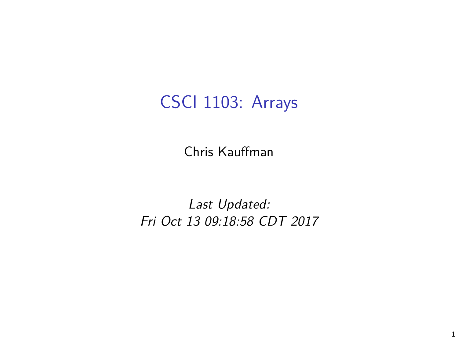## CSCI 1103: Arrays

Chris Kauffman

Last Updated: Fri Oct 13 09:18:58 CDT 2017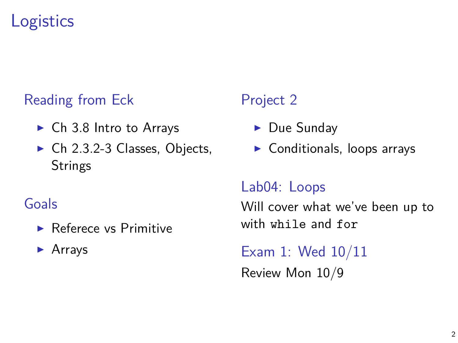## **Logistics**

#### Reading from Eck

- $\triangleright$  Ch 3.8 Intro to Arrays
- $\triangleright$  Ch 2.3.2-3 Classes, Objects, **Strings**

#### Goals

- **Referece vs Primitive**
- $\blacktriangleright$  Arrays

#### Project 2

- $\blacktriangleright$  Due Sunday
- $\blacktriangleright$  Conditionals, loops arrays

#### Lab04: Loops

Will cover what we've been up to with while and for

Exam 1: Wed 10/11 Review Mon 10/9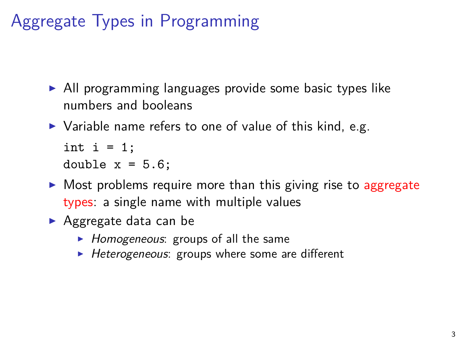Aggregate Types in Programming

- $\triangleright$  All programming languages provide some basic types like numbers and booleans
- $\triangleright$  Variable name refers to one of value of this kind, e.g.

```
int i = 1:
```

```
double x = 5.6;
```
- $\triangleright$  Most problems require more than this giving rise to aggregate types: a single name with multiple values
- $\blacktriangleright$  Aggregate data can be
	- $\blacktriangleright$  Homogeneous: groups of all the same
	- $\blacktriangleright$  Heterogeneous: groups where some are different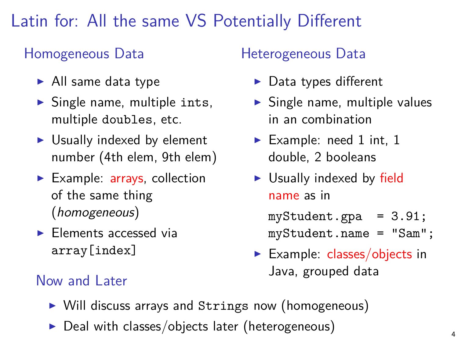## Latin for: All the same VS Potentially Different

#### Homogeneous Data

- $\blacktriangleright$  All same data type
- $\triangleright$  Single name, multiple ints, multiple doubles, etc.
- $\triangleright$  Usually indexed by element number (4th elem, 9th elem)
- $\blacktriangleright$  Example: arrays, collection of the same thing (homogeneous)
- $\blacktriangleright$  Elements accessed via array[index]

#### Heterogeneous Data

- $\blacktriangleright$  Data types different
- $\triangleright$  Single name, multiple values in an combination
- Example: need 1 int, 1 double, 2 booleans
- $\triangleright$  Usually indexed by field name as in

myStudent.gpa = 3.91; myStudent.name = "Sam";

Example: classes/objects in Java, grouped data Now and Later

- ▶ Will discuss arrays and Strings now (homogeneous)
- $\triangleright$  Deal with classes/objects later (heterogeneous)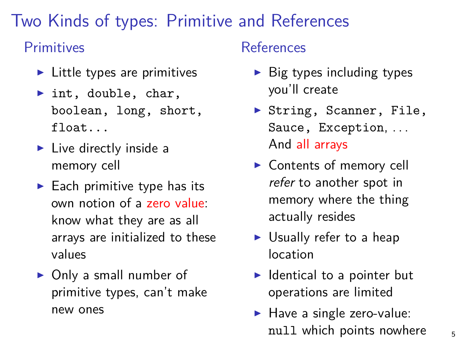## Two Kinds of types: Primitive and References

#### Primitives

- $\blacktriangleright$  Little types are primitives
- $\blacktriangleright$  int, double, char, boolean, long, short, float...
- $\blacktriangleright$  Live directly inside a memory cell
- $\blacktriangleright$  Each primitive type has its own notion of a zero value: know what they are as all arrays are initialized to these values
- $\triangleright$  Only a small number of primitive types, can't make new ones

#### References

- $\triangleright$  Big types including types you'll create
- ▶ String, Scanner, File, Sauce, Exception, . . . And all arrays
- $\triangleright$  Contents of memory cell refer to another spot in memory where the thing actually resides
- $\triangleright$  Usually refer to a heap location
- $\blacktriangleright$  Identical to a pointer but operations are limited
- $\blacktriangleright$  Have a single zero-value: null which points nowhere  $\frac{1}{5}$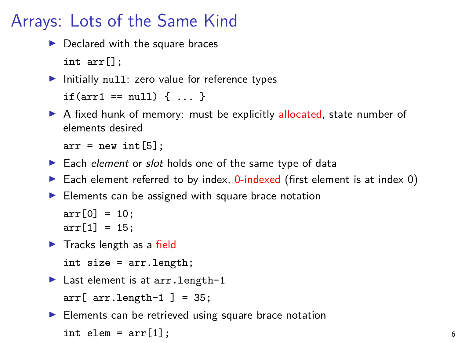## Arrays: Lots of the Same Kind

 $\blacktriangleright$  Declared with the square braces int arr[];

```
\blacktriangleright Initially null: zero value for reference types
   if(arr1 == null) { ... }
```
A fixed hunk of memory: must be explicitly allocated, state number of elements desired

 $arr = new int[5];$ 

- Each element or slot holds one of the same type of data
- Each element referred to by index,  $0$ -indexed (first element is at index 0)
- $\blacktriangleright$  Elements can be assigned with square brace notation

 $arr[0] = 10$ ;  $arr[1] = 15;$ 

 $\blacktriangleright$  Tracks length as a field

```
int size = arr.length;
```
 $\blacktriangleright$  Last element is at arr. length-1

 $arr[arr.length-1] = 35;$ 

 $\blacktriangleright$  Elements can be retrieved using square brace notation

```
\text{int } elem = \text{arr}[1];
```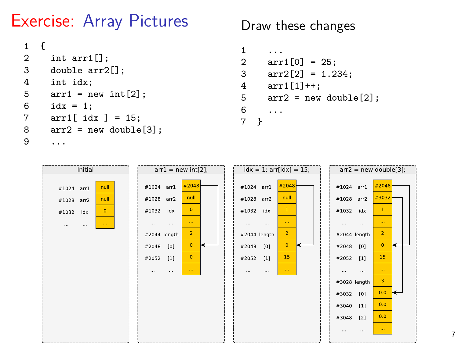## Exercise: Array Pictures

```
\begin{matrix} 1 & \{ \\ 2 & \{ \end{matrix}2 int arr1[];<br>3 double arr?
3 double arr2[];<br>4 int idx:
        int idx:
5 \arct{r1} = \text{new int}[2];<br>6 \text{id}x = 1idx = 1:
7 arr1[ idx ] = 15;
8 arr2 = new double[3];
         9 ...
```
Draw these changes

```
1 ...
2 arr1[0] = 25;
3 \arr2[2] = 1.234;<br>4 \arr1[1]+:
4 arr1[1]+;<br>5 arr2 = newarr2 = new double[2];6 ...
\overline{7}
```
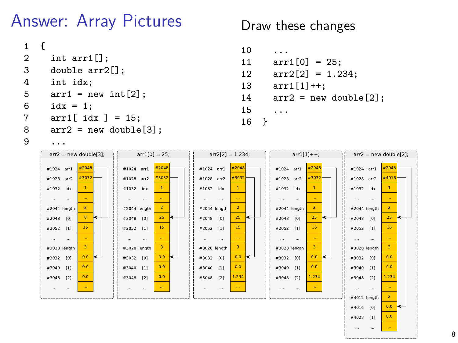# Answer: Array Pictures

```
\begin{matrix} 1 & \{ \\ 2 & \{ \end{matrix}2 int arr1[];<br>3 double arr?
3 double arr2[];<br>4 int idx:
        int idx:
5 \arct{r1} = \text{new int}[2];<br>6 \text{idx} = 1idx = 1:
7 arr1[ idx ] = 15;
8 arr2 = new double[3];
```
Draw these changes

```
10 ...<br>11 arr
      arr1[0] = 25;12 \ar{2}[2] = 1.234;13 arr1[1]++;
14 arr2 = new double[2];<br>15
      15 ...
16 }
```
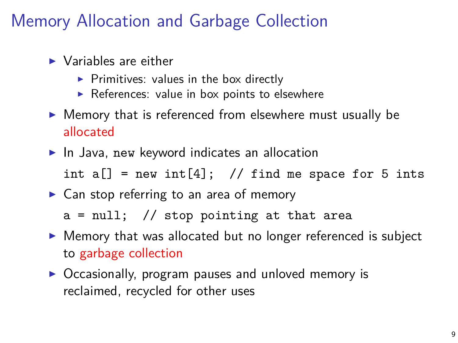## Memory Allocation and Garbage Collection

- $\blacktriangleright$  Variables are either
	- $\triangleright$  Primitives: values in the box directly
	- $\triangleright$  References: value in box points to elsewhere
- $\triangleright$  Memory that is referenced from elsewhere must usually be allocated
- $\blacktriangleright$  In Java, new keyword indicates an allocation int  $a[] = new int[4];$  // find me space for 5 ints
- $\triangleright$  Can stop referring to an area of memory

 $a = null$ ; // stop pointing at that area

- $\triangleright$  Memory that was allocated but no longer referenced is subject to garbage collection
- $\triangleright$  Occasionally, program pauses and unloved memory is reclaimed, recycled for other uses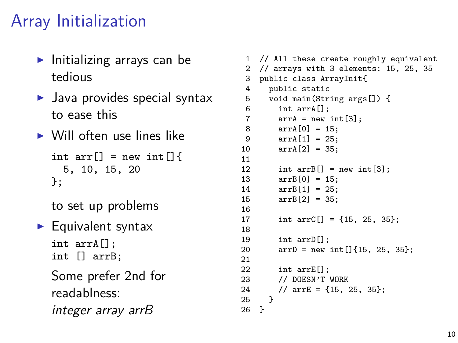## Array Initialization

- $\blacktriangleright$  Initializing arrays can be tedious
- $\blacktriangleright$  Java provides special syntax to ease this
- $\triangleright$  Will often use lines like

int arr $[$ ] = new int $[$ ]{ 5, 10, 15, 20 };

to set up problems

 $\blacktriangleright$  Equivalent syntax int arrA[]; int [] arrB;

> Some prefer 2nd for readablness: integer array arrB

```
1 // All these create roughly equivalent
 2 // arrays with 3 elements: 15, 25, 35
 3 public class ArrayInit{
 4 public static<br>5 void main(Str
 5 void main(String args[]) {<br>6 int arrA[]:
 6 int arrA[];<br>7 arrA = new
 7 \quad \text{arrA} = \text{new int}[3];<br>8 \quad \text{arrA[0]} = 15:
 8 \arch[0] = 15;<br>9 \arch[1] = 25;arrA[1] = 25:
10 arrA[2] = 35;
\frac{11}{12}12 int arrB[] = new int[3];<br>13 arrB[0] = 15.
13 \arrB[0] = 15;<br>14 \arrB[1] = 25:
14 arrB[1] = 25;
           arrB[2] = 35;\frac{16}{17}int arrC[] = {15, 25, 35};\frac{18}{19}19 int arrD[];<br>20 arrD = newarrD = new int[]{15, 25, 35};
\frac{21}{22}int arrE[]:
23 // DOESN'T WORK<br>24 // arrE = {15.
        // arrE = \{15, 25, 35\};25 }
26 }
```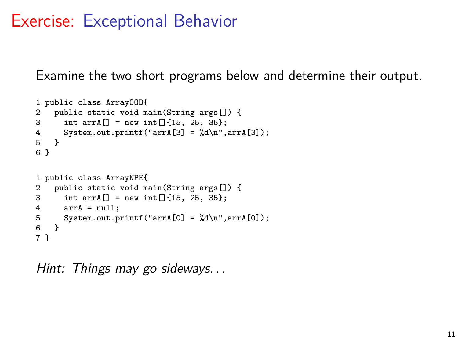## Exercise: Exceptional Behavior

Examine the two short programs below and determine their output.

```
1 public class ArrayOOB{
2 public static void main(String args[]) {<br>3 int arr\Lambda[] = new int[1415, 25, 35}
         int arrA[] = new int[]{15, 25, 35};4 System.out.printf("arrA[3] = \%d\n", arrA[3]);<br>5 }
     5 }
6 }
1 public class ArrayNPE{
2 public static void main(String args[]) {<br>3 int arrA\lceil 1 = new int\lceil \lceil \{15, 25, 35\} \rceil:
3 int arrA[] = new int[]{15, 25, 35};<br>4 arrA = null:
4 arrA = null;<br>5 System.out.p
5 System.out.printf("arrA[0] = \%d\n\pi",arrA[0]);<br>6 }
     \rightarrow7 }
```
Hint: Things may go sideways. . .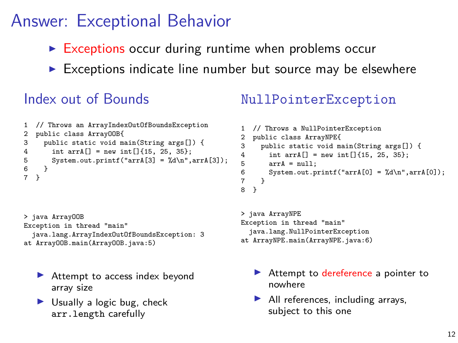## Answer: Exceptional Behavior

- $\triangleright$  Exceptions occur during runtime when problems occur
- $\triangleright$  Exceptions indicate line number but source may be elsewhere

#### Index out of Bounds

```
1 // Throws an ArrayIndexOutOfBoundsException
2 public class ArrayOOB{<br>3 public static void ma
3 public static void main(String args[]) {<br>4 int arrA[] = new int[]{15, 25, 35};
4 int arrA[] = new int[]{15, 25, 35};<br>5 System.out.printf("arrA[3] = \lambdad\n".
5 System.out.printf("arrA[3] = \sqrt{d}n",arrA[3]);<br>6 }
\begin{matrix} 6 & 3 \\ 7 & 3 \end{matrix}7 }
```
> java ArrayOOB Exception in thread "main" java.lang.ArrayIndexOutOfBoundsException: 3 at ArrayOOB.main(ArrayOOB.java:5)

- $\blacktriangleright$  Attempt to access index beyond array size
- $\blacktriangleright$  Usually a logic bug, check arr.length carefully

#### NullPointerException

```
1 // Throws a NullPointerException
2 public class ArrayNPE{<br>3 public static void ma
3 public static void main(String args[]) {<br>4 int arrA[] = new int[1415, 25, 35}
4 int arrA[] = new int[]{15, 25, 35};<br>5 arrA = null;
5 arrA = null;<br>6 System.out.p
          System.out.printf("arrA[0] = %d\n",arrA[0]);
\frac{7}{8}8 }
```

```
> java ArrayNPE
Exception in thread "main"
  java.lang.NullPointerException
at ArrayNPE.main(ArrayNPE.java:6)
```
- $\blacktriangleright$  Attempt to dereference a pointer to nowhere
- $\blacktriangleright$  All references, including arrays, subject to this one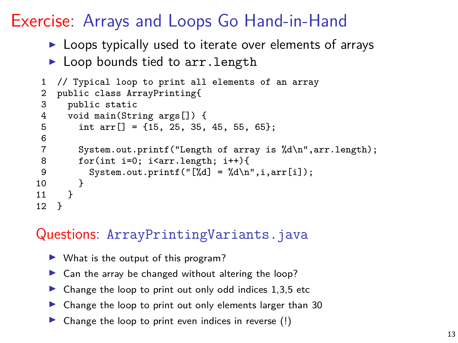## Exercise: Arrays and Loops Go Hand-in-Hand

- $\blacktriangleright$  Loops typically used to iterate over elements of arrays
- $\blacktriangleright$  Loop bounds tied to arr. length

```
1 // Typical loop to print all elements of an array
 2 public class ArrayPrinting{
 3 public static<br>4 void main(Str
 4 void main(String args[]) {<br>5 int arr[] = {15, 25, 35,
           int arr[] = \{15, 25, 35, 45, 55, 65\};rac{6}{7}7 System.out.printf("Length of array is %d\n",arr.length);<br>8 for(int i=0; i<arr.length; i++){
 8 for(int i=0; i<arr.length; i++){<br>9 System out printf("[%d] = %d\n
           System.out.printf("[%d] = %d\n",i,arr[i]);<br>}
\begin{array}{cc} 10 \\ 11 \end{array}11 }
12 }
```
#### Questions: ArrayPrintingVariants.java

- $\blacktriangleright$  What is the output of this program?
- $\triangleright$  Can the array be changed without altering the loop?
- $\blacktriangleright$  Change the loop to print out only odd indices 1,3,5 etc
- $\triangleright$  Change the loop to print out only elements larger than 30
- $\triangleright$  Change the loop to print even indices in reverse (!)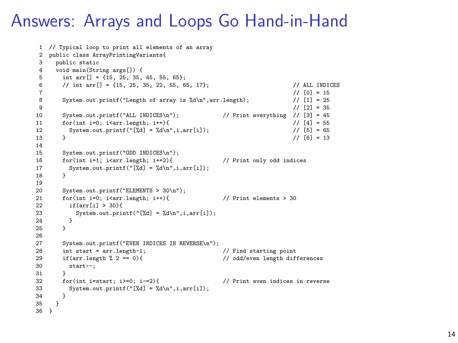### Answers: Arrays and Loops Go Hand-in-Hand

```
1 // Typical loop to print all elements of an array
 2 public class ArrayPrintingVariants{<br>3 public static
 3 public static<br>4 void main(Str:
 4 void main(String args[]) {
 5 int arr [] = {15, 25, 35, 45, 55, 65};<br>6 // int arr [] = {15, 25, 35, 22, 55, 6}
6 // int arr [] = {15, 25, 35, 22, 55, 65, 17}; // ALL INDICES 7 // [0] = 15
 7 // [0] = 15
8 System.out.printf("Length of array is \frac{1}{4}n",arr.length); // [1] = 25<br>9 // [2] = 35
 9 \frac{1}{2} = 35
10 System.out.printf("ALL INDICES\n"); // Print everything // [3] = 45<br>11 for(int i=0: i<arr.length: i++){ // [4] = 55
11 for(int i=0; i<arr.length; i++){ \frac{1}{2} for \frac{1}{2} = 55<br>12 System.out.printf("[%d] = %d\n".i.arr[i]); \frac{1}{2} for \frac{1}{5} = 65
12 System.out.printf("[%d] = %d\n",i,arr[i]); <br>13 }<br>// [6] = 13
13 \frac{1}{2} // [6] = 13
14<br>15
15 System.out.printf("ODD INDICES\n");<br>16 for(int i=1; i<arr length; i+=2){
16 for(int i=1; i<arr.length; i+=2){ // Print only odd indices<br>17 System out printf("['/d] = '/d\n" i arr[i]).
        System.out.printf("[%d] = %d\n",i,arr[i]);<br>}
18 }
\frac{19}{20}20 System.out.printf("ELEMENTS > 30\ln");<br>21 for(int i=0; i<arr.length; i++){
21 for(int i=0; i<arr.length; i++){ \qquad // Print elements > 30<br>22 if(arr[i] > 30){
          if(arr[i] > 30){
23 System.out.printf("[\frac{1}{d}] = \frac{1}{d} \ln^{\pi}, i, arr[i];\begin{array}{ccc} 24 & & & \frac{1}{25} \\ 25 & & & \frac{1}{25} \end{array}25 }
26
27 System.out.printf("EVEN INDICES IN REVERSE\n");
28 int start = arr.length-1; // Find starting point
29 if(arr.length \frac{9}{2} == 0){ // odd/even length differences
30 start--;
31 }<br>32 for(int i=start: i>=0: i-=2){
32 for(int i=start; i>=0; i-=2){ // Print even indices in reverse<br>33 System out printf("['/d] = '/d)p" i arr[i]).
        System.out.printf("[%d] = %d\n",i,arr[i]);
34<br>35<br>13536 }
```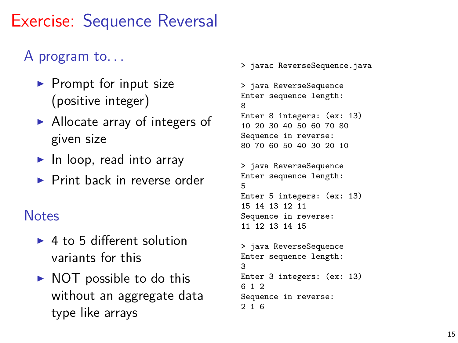## Exercise: Sequence Reversal

## A program to. . .

- $\blacktriangleright$  Prompt for input size (positive integer)
- $\blacktriangleright$  Allocate array of integers of given size
- $\blacktriangleright$  In loop, read into array
- $\blacktriangleright$  Print back in reverse order

#### **Notes**

- $\blacktriangleright$  4 to 5 different solution variants for this
- $\triangleright$  NOT possible to do this without an aggregate data type like arrays

> javac ReverseSequence.java

```
> java ReverseSequence
Enter sequence length:
8
Enter 8 integers: (ex: 13)
10 20 30 40 50 60 70 80
Sequence in reverse:
80 70 60 50 40 30 20 10
```

```
> java ReverseSequence
Enter sequence length:
5
Enter 5 integers: (ex: 13)
15 14 13 12 11
Sequence in reverse:
11 12 13 14 15
```

```
> java ReverseSequence
Enter sequence length:
3
Enter 3 integers: (ex: 13)
6 1 2
Sequence in reverse:
2 1 6
```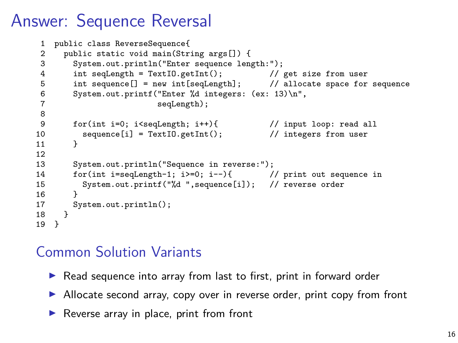## Answer: Sequence Reversal

```
1 public class ReverseSequence{<br>2 public static void main(Str:
 2 public static void main(String args[]) {<br>3 System.out.println("Enter sequence length
            System.out.println("Enter sequence length:");
 4 int seqLength = TextIO.getInt(); // get size from user<br>5 int sequence[] = new int[seqLength]; // allocate space for
 5 int sequence[] = new int[seqLength]; // allocate space for sequence 6 System.out.printf("Enter %d integers: (ex: 13) \n\begin{bmatrix} n \\ 1 \end{bmatrix}6 System.out.printf("Enter %d integers: (ex: 13)\n",
                                        seqLength):
 8
9 for(int i=0; i<seqLength; i++){ \frac{1}{2} // input loop: read all sequence[i] = TextI0.getInt(); \frac{1}{2} integers from user
            sequence[i] = TextIO.getInt();<br>}
11 }
\frac{12}{13}13 System.out.println("Sequence in reverse:");<br>14 for(int i=seqLength-1: i>=0: i--){
14 for(int i=seqLength-1; i>=0; i--){ // print out sequence in<br>15 System.out.printf("%d ".sequence[i]): // reverse order
            System.out.printf("%d ",sequence[i]); // reverse order<br>}
\frac{16}{17}System.out.println();<br>}
18 }
19 }
```
#### Common Solution Variants

- ▶ Read sequence into array from last to first, print in forward order
- Allocate second array, copy over in reverse order, print copy from front
- $\blacktriangleright$  Reverse array in place, print from front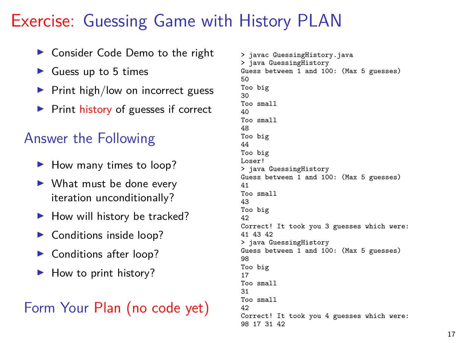## Exercise: Guessing Game with History PLAN

- ▶ Consider Code Demo to the right
- $\blacktriangleright$  Guess up to 5 times
- $\blacktriangleright$  Print high/low on incorrect guess
- $\triangleright$  Print history of guesses if correct

#### Answer the Following

- $\blacktriangleright$  How many times to loop?
- $\blacktriangleright$  What must be done every iteration unconditionally?
- $\blacktriangleright$  How will history be tracked?
- $\blacktriangleright$  Conditions inside loop?
- ▶ Conditions after loop?
- $\blacktriangleright$  How to print history?

#### Form Your Plan (no code yet)

```
> javac GuessingHistory.java
> java GuessingHistory
Guess between 1 and 100: (Max 5 guesses)
50Too big
30
Too small
40
Too small
48
Too big
44
Too big
Loser!
> java GuessingHistory
Guess between 1 and 100: (Max 5 guesses)
41
Too small
43
Too big
42
Correct! It took you 3 guesses which were:
41 43 42
> java GuessingHistory
Guess between 1 and 100: (Max 5 guesses)
98
Too big
17
Too small
31
Too small
42
Correct! It took you 4 guesses which were:
98 17 31 42
```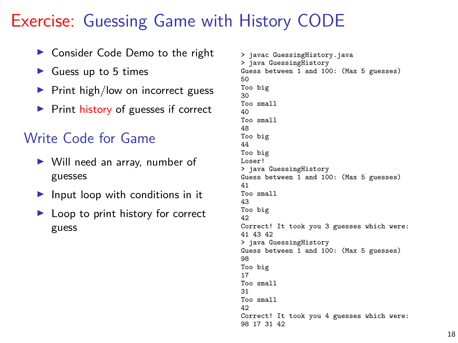## Exercise: Guessing Game with History CODE

- ▶ Consider Code Demo to the right
- $\blacktriangleright$  Guess up to 5 times
- $\blacktriangleright$  Print high/low on incorrect guess
- $\triangleright$  Print history of guesses if correct

#### Write Code for Game

- $\triangleright$  Will need an array, number of guesses
- $\blacktriangleright$  Input loop with conditions in it
- $\blacktriangleright$  Loop to print history for correct guess

```
> javac GuessingHistory.java
> java GuessingHistory
Guess between 1 and 100: (Max 5 guesses)
50Too big
30
Too small
40
Too small
48
Too big
44
Too big
Loser!
> java GuessingHistory
Guess between 1 and 100: (Max 5 guesses)
41
Too small
43
Too big
42
Correct! It took you 3 guesses which were:
41 43 42
> java GuessingHistory
Guess between 1 and 100: (Max 5 guesses)
98
Too big
17
Too small
31
Too small
42
Correct! It took you 4 guesses which were:
98 17 31 42
```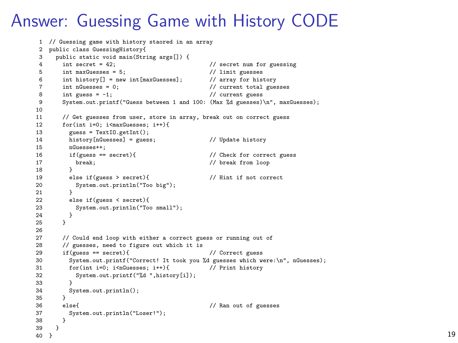## Answer: Guessing Game with History CODE

```
1 // Guessing game with history staored in an array
 2 public class GuessingHistory{<br>3 public static void main(Str
 3 public static void main(String args[]) {<br>4 int secret = 42:
 4 int secret = 42;<br>5 int maxGuesses = 5;<br>7/ limit guesses = 5;<br>7/ limit guesses
 5 int maxGuesses = 5; \frac{1}{2} \frac{1}{2} \frac{1}{2} int history \frac{1}{2} = new int \frac{1}{2} maxGuesses 3: \frac{1}{2} array for history
 6 int history[] = new int(maxGuesses];<br>
7 int nGuesses = 0;
 7 int nGuesses = 0; \frac{1}{2} // current total guesses int guesses = 1; \frac{1}{2} // current guesses
8 int guess = -1; // current guess<br>9 System.out.printf("Guess between 1 and 100: (Max %d guesses)
        9 System.out.printf("Guess between 1 and 100: (Max %d guesses)\n", maxGuesses);
10<br>1111 // Get guesses from user, store in array, break out on correct guess<br>12 for(int i=0: i\frac{1}{2} is 100 integences: i++) {
12 for(int i=0; i<maxGuesses; i++){<br>13 mess = TextIO getInt();
13 guess = TextIO.getInt();<br>14 history[nGuesses] = gues
14 history[nGuesses] = guess; // Update history<br>15 mGuesses++
15 nGuesses++;<br>16 if(guess == secret){
16 if(guess == secret){ // Check for correct guess<br>17 hreak: // hreak from loop
          break; // break from loop }
\frac{18}{19}19 else if(guess > secret){ // Hint if not correct<br>20 System out println("Too big");
          System.out.println("Too big");<br>}
\frac{21}{22}22 else if(guess < secret){
          System.out.println("Too small");<br>}
24 }
25 }
26
27 // Could end loop with either a correct guess or running out of
28 // guesses, need to figure out which it is
29 if(guess == secret){ // Correct guess
30 System.out.printf("Correct! It took you %d guesses which were:\n", nGuesses);
31 for(int i=0; i<nGuesses; i++){ // Print history
32 System.out.printf("%d ",history[i]);
\begin{array}{ccc} 33 & & & \end{array}System.out.println();
35 }
36 else{ // Ran out of guesses
        System.out.println("Loser!");
3839 \n4040 } 19
```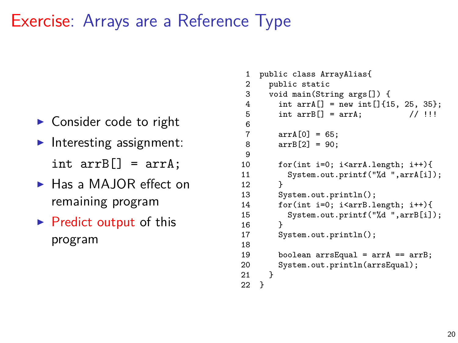## Exercise: Arrays are a Reference Type

- $\triangleright$  Consider code to right
- $\blacktriangleright$  Interesting assignment: int  $arrB[] = arrA$ :
- $\blacktriangleright$  Has a MAJOR effect on remaining program
- $\triangleright$  Predict output of this program

```
1 public class ArrayAlias{
 2 public static<br>3 void main(Str
        3 void main(String args[]) {
 4 int arrA[] = new int[]{15, 25, 35};<br>5 int arrB[] = arrA: // !!!
 5 int arrB[] = arrA:
 6 \over 7arrA[0] = 65:
 8 arrB[2] = 90;
\frac{9}{10}10 for(int i=0; i<arrA.length; i++){<br>11 System.out.printf("%d ".arrA[i]
           System.out.printf("%d ",arrA[i]);<br>}
12 \\ 1313 System.out.println();<br>14 for(int i=0; i<arrB 1
14 for(int i=0; i<arrB.length; i++){<br>15 System.out.printf("%d ".arrB[i]
           System.out.printf("%d ",arrB[i]);<br>}
\frac{16}{17}System.out.println():
18
19 boolean arrsEqual = arrA == arrB;<br>20 System.out.println(arrsEqual):
        System.out.println(arrsEqual);<br>}
21 }
22 }
```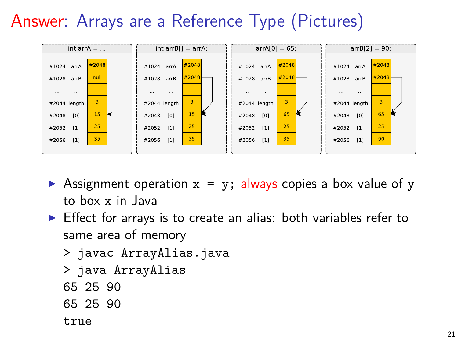# Answer: Arrays are a Reference Type (Pictures)



- **Example 1** Assignment operation  $x = y$ ; always copies a box value of y to box x in Java
- $\triangleright$  Effect for arrays is to create an alias: both variables refer to same area of memory
	- > javac ArrayAlias.java
	- > java ArrayAlias
	- 65 25 90
	- 65 25 90
	- true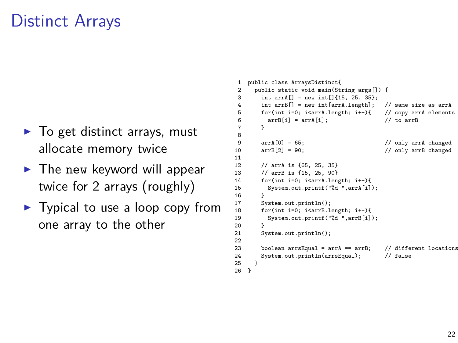## Distinct Arrays

- $\blacktriangleright$  To get distinct arrays, must allocate memory twice
- $\blacktriangleright$  The new keyword will appear twice for 2 arrays (roughly)
- $\blacktriangleright$  Typical to use a loop copy from one array to the other

```
1 public class ArraysDistinct{<br>2 public static void main(St)
 2 public static void main(String args[]) {<br>3 int arrA[] = nov int[1415, 25, 35}
 3 int arrA[] = new int [[15, 25, 35};<br>4 int arrB[] = new int [arrA length].
           int arrB[] = new int[arrA.length]; // same size as arrA<br>for(int i=0: i<arrA.length: i++){ // copy arrA elements
 5 for(int i=0; i<arrA.length; i++){ // copy ar<br>6 arrB[i] = arrA[i]; // to arrB
 6 \quad \text{arrB[i]} = \text{arrA[i];}<br>
7 \quad \}7 }
 8
9 arrA[0] = 65;<br>10 arrB[2] = 90;<br>200 arrB[2] = 90;<br>300 arrB changed
                                                                // only arrB changed
\frac{11}{12}12 // arrA is {65, 25, 35}<br>13 // arrR is {15, 25, 90}
13 // arrB is {15, 25, 90}
14 for(int i=0; i<arrA.length; i++){<br>15 System.out.printf("%d ".arrA[i]
             System.out.printf("%d ",arrA[i]);
16<br>17
17 System.out.println();<br>18 for(int i=0: i<arrB.1
18 for(int i=0; i<arrB.length; i++){<br>19 System.out.printf("%d".arrB[i]
             System.out.printf("%d ",arrB[i]);
20 }
21 System.out.println();
22
23 boolean arrsEqual = arrA == arrB; // different locations
24 System.out.println(arrsEqual); // false
25 }
26 }
```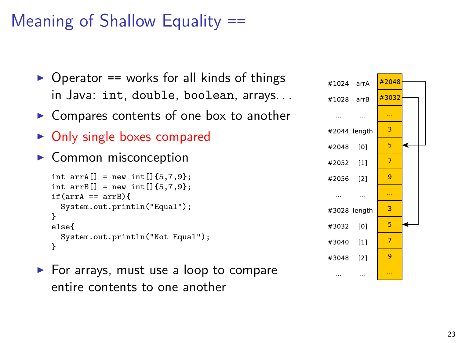# Meaning of Shallow Equality ==



- $\triangleright$  Compares contents of one box to another
- $\triangleright$  Only single boxes compared
- $\blacktriangleright$  Common misconception

```
int arrA[] = new int[] {5, 7, 9};int arrB[] = new int[1{6.7.9}:if(arrA == arrB)System.out.println("Equal");
}
else{
  System.out.println("Not Equal");
}
```
 $\blacktriangleright$  For arrays, must use a loop to compare entire contents to one another

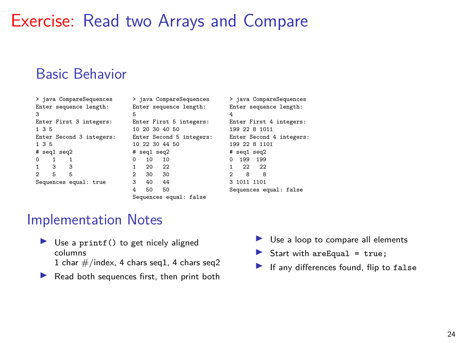## Exercise: Read two Arrays and Compare

#### Basic Behavior

| > java CompareSequences  | > java CompareSequences    | > java CompareSequences    |
|--------------------------|----------------------------|----------------------------|
| Enter sequence length:   | Enter sequence length:     | Enter sequence length:     |
| 3                        | Б                          | 4                          |
| Enter First 3 integers:  | Enter First 5 integers:    | Enter First 4 integers:    |
| 1, 3, 5                  | 10 20 30 40 50             | 199 22 8 1011              |
| Enter Second 3 integers: | Enter Second 5 integers:   | Enter Second 4 integers:   |
| 1, 3, 5                  | 10 22 30 44 50             | 199 22 8 1101              |
| # seg1 seg2              | # seg1 seg2                | # seg1 seg2                |
| $\Omega$                 | 10<br>10<br>$\Omega$       | 199<br>199<br><sup>o</sup> |
| 3<br>3                   | 22<br>20                   | $22 \t 22$                 |
| 5<br>5<br>$\mathfrak{D}$ | $\mathfrak{D}$<br>30<br>30 | 2<br>8<br>8                |
| Sequences equal: true    | 40<br>44<br>3              | 3 1011 1101                |
|                          | 50<br>50<br>4              | Sequences equal: false     |
|                          |                            |                            |

#### Sequences equal: false

#### Implementation Notes

 $\triangleright$  Use a printf() to get nicely aligned columns

1 char  $\#$ /index, 4 chars seq1, 4 chars seq2

 $\blacktriangleright$  Read both sequences first, then print both

- $\blacktriangleright$  Use a loop to compare all elements
- $\blacktriangleright$  Start with are Equal = true;
- If any differences found, flip to false